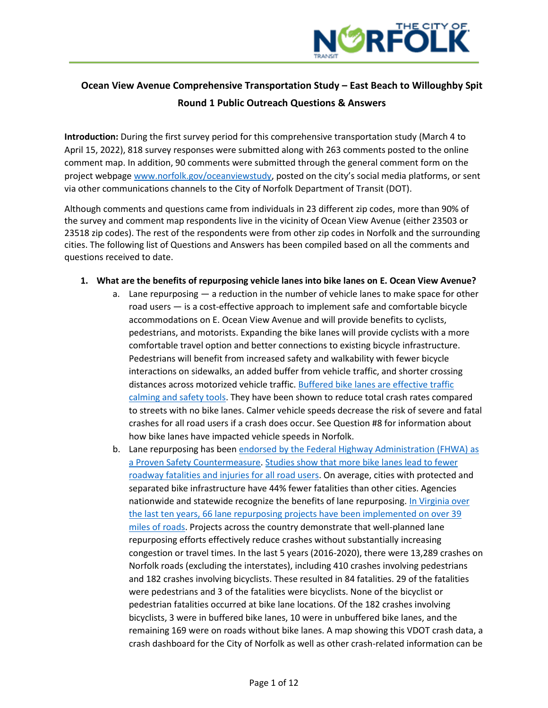

# **Ocean View Avenue Comprehensive Transportation Study – East Beach to Willoughby Spit Round 1 Public Outreach Questions & Answers**

**Introduction:** During the first survey period for this comprehensive transportation study (March 4 to April 15, 2022), 818 survey responses were submitted along with 263 comments posted to the online comment map. In addition, 90 comments were submitted through the general comment form on the project webpage [www.norfolk.gov/oceanviewstudy](http://www.norfolk.gov/granbybike), posted on the city's social media platforms, or sent via other communications channels to the City of Norfolk Department of Transit (DOT).

Although comments and questions came from individuals in 23 different zip codes, more than 90% of the survey and comment map respondents live in the vicinity of Ocean View Avenue (either 23503 or 23518 zip codes). The rest of the respondents were from other zip codes in Norfolk and the surrounding cities. The following list of Questions and Answers has been compiled based on all the comments and questions received to date.

- **1. What are the benefits of repurposing vehicle lanes into bike lanes on E. Ocean View Avenue?**
	- a. Lane repurposing a reduction in the number of vehicle lanes to make space for other road users — is a cost-effective approach to implement safe and comfortable bicycle accommodations on E. Ocean View Avenue and will provide benefits to cyclists, pedestrians, and motorists. Expanding the bike lanes will provide cyclists with a more comfortable travel option and better connections to existing bicycle infrastructure. Pedestrians will benefit from increased safety and walkability with fewer bicycle interactions on sidewalks, an added buffer from vehicle traffic, and shorter crossing distances across motorized vehicle traffic. Buffered [bike lanes are effective traffic](https://ehjournal.biomedcentral.com/articles/10.1186/1476-069X-8-47)  [calming and safety tools.](https://ehjournal.biomedcentral.com/articles/10.1186/1476-069X-8-47) They have been shown to reduce total crash rates compared to streets with no bike lanes. Calmer vehicle speeds decrease the risk of severe and fatal crashes for all road users if a crash does occur. See Question #8 for information about how bike lanes have impacted vehicle speeds in Norfolk.
	- b. Lane repurposing has been endorsed by the Federal Highway Administration (FHWA) as [a Proven Safety Countermeasure.](https://safety.fhwa.dot.gov/road_diets/guidance/info_guide/) [Studies show that more bike lanes lead to fewer](https://usa.streetsblog.org/2019/05/29/protect-yourself-separated-bike-lanes-means-safer-streets-study-says/)  [roadway fatalities and injuries for all road users.](https://usa.streetsblog.org/2019/05/29/protect-yourself-separated-bike-lanes-means-safer-streets-study-says/) On average, cities with protected and separated bike infrastructure have 44% fewer fatalities than other cities. Agencies nationwide and statewide recognize the benefits of lane repurposing. In Virginia over [the last ten years, 66 lane repurposing projects have been implemented on over 39](http://www.virginiadot.org/vtrc/main/online_reports/pdf/20-R19.pdf)  [miles of roads.](http://www.virginiadot.org/vtrc/main/online_reports/pdf/20-R19.pdf) Projects across the country demonstrate that well-planned lane repurposing efforts effectively reduce crashes without substantially increasing congestion or travel times. In the last 5 years (2016-2020), there were 13,289 crashes on Norfolk roads (excluding the interstates), including 410 crashes involving pedestrians and 182 crashes involving bicyclists. These resulted in 84 fatalities. 29 of the fatalities were pedestrians and 3 of the fatalities were bicyclists. None of the bicyclist or pedestrian fatalities occurred at bike lane locations. Of the 182 crashes involving bicyclists, 3 were in buffered bike lanes, 10 were in unbuffered bike lanes, and the remaining 169 were on roads without bike lanes. A map showing this VDOT crash data, a crash dashboard for the City of Norfolk as well as other crash-related information can be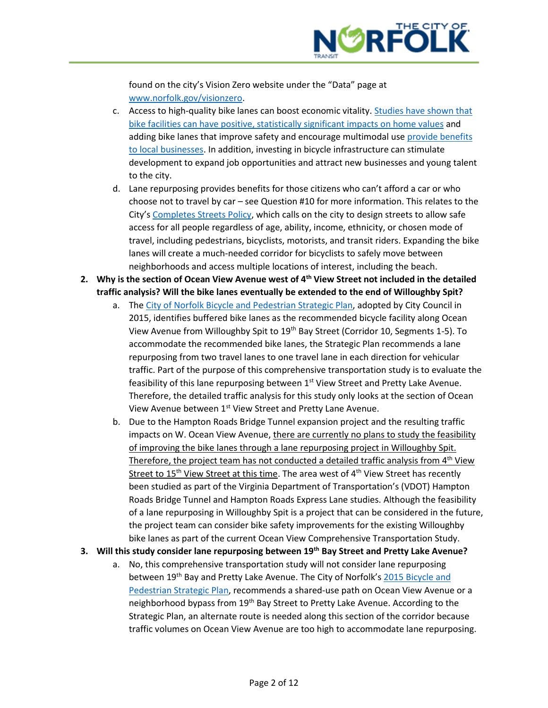

found on the city's Vision Zero website under the "Data" page at [www.norfolk.gov/visionzero.](http://www.norfolk.gov/visionzero)

- c. Access to high-quality bike lanes can boost economic vitality. [Studies have shown that](https://atlanta.curbed.com/2013/8/8/10210634/bike-lanes-property-values-is-there-a-correlation)  [bike facilities can have positive, statistically significant impacts on home values](https://atlanta.curbed.com/2013/8/8/10210634/bike-lanes-property-values-is-there-a-correlation) and adding bike lanes that improve safety and encourage multimodal use [provide benefits](https://www.strongtowns.org/journal/2018/5/31/how-bike-lanes-benefit-businesses)  [to local businesses.](https://www.strongtowns.org/journal/2018/5/31/how-bike-lanes-benefit-businesses) In addition, investing in bicycle infrastructure can stimulate development to expand job opportunities and attract new businesses and young talent to the city.
- d. Lane repurposing provides benefits for those citizens who can't afford a car or who choose not to travel by car – see Question #10 for more information. This relates to the City's [Completes Streets Policy,](https://www.norfolk.gov/DocumentCenter/View/24580/Complete-Streets-Policy-adopted?bidId=) which calls on the city to design streets to allow safe access for all people regardless of age, ability, income, ethnicity, or chosen mode of travel, including pedestrians, bicyclists, motorists, and transit riders. Expanding the bike lanes will create a much-needed corridor for bicyclists to safely move between neighborhoods and access multiple locations of interest, including the beach.
- **2. Why is the section of Ocean View Avenue west of 4th View Street not included in the detailed traffic analysis? Will the bike lanes eventually be extended to the end of Willoughby Spit?**
	- a. The [City of Norfolk Bicycle and Pedestrian Strategic Plan,](https://www.norfolk.gov/DocumentCenter/View/22781/2015-Norfolk-Strategic-Bike-Pedestrian-Plan-PDF?bidId=) adopted by City Council in 2015, identifies buffered bike lanes as the recommended bicycle facility along Ocean View Avenue from Willoughby Spit to 19th Bay Street (Corridor 10, Segments 1-5). To accommodate the recommended bike lanes, the Strategic Plan recommends a lane repurposing from two travel lanes to one travel lane in each direction for vehicular traffic. Part of the purpose of this comprehensive transportation study is to evaluate the feasibility of this lane repurposing between 1<sup>st</sup> View Street and Pretty Lake Avenue. Therefore, the detailed traffic analysis for this study only looks at the section of Ocean View Avenue between 1<sup>st</sup> View Street and Pretty Lane Avenue.
	- b. Due to the Hampton Roads Bridge Tunnel expansion project and the resulting traffic impacts on W. Ocean View Avenue, there are currently no plans to study the feasibility of improving the bike lanes through a lane repurposing project in Willoughby Spit. Therefore, the project team has not conducted a detailed traffic analysis from  $4<sup>th</sup>$  View Street to  $15<sup>th</sup>$  View Street at this time. The area west of  $4<sup>th</sup>$  View Street has recently been studied as part of the Virginia Department of Transportation's (VDOT) Hampton Roads Bridge Tunnel and Hampton Roads Express Lane studies. Although the feasibility of a lane repurposing in Willoughby Spit is a project that can be considered in the future, the project team can consider bike safety improvements for the existing Willoughby bike lanes as part of the current Ocean View Comprehensive Transportation Study.
- **3. Will this study consider lane repurposing between 19th Bay Street and Pretty Lake Avenue?**
	- a. No, this comprehensive transportation study will not consider lane repurposing between 19<sup>th</sup> Bay and Pretty Lake Avenue. The City of Norfolk's 2015 Bicycle and [Pedestrian Strategic Plan,](https://www.norfolk.gov/DocumentCenter/View/22781/2015-Norfolk-Strategic-Bike-Pedestrian-Plan-PDF?bidId=) recommends a shared-use path on Ocean View Avenue or a neighborhood bypass from 19<sup>th</sup> Bay Street to Pretty Lake Avenue. According to the Strategic Plan, an alternate route is needed along this section of the corridor because traffic volumes on Ocean View Avenue are too high to accommodate lane repurposing.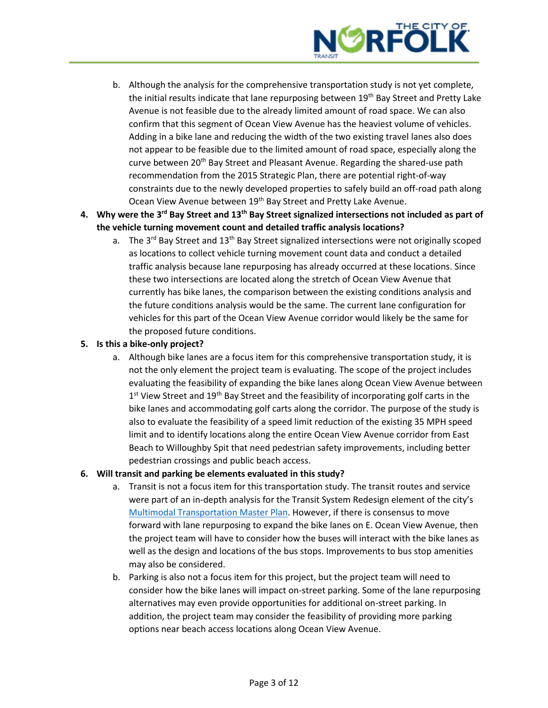

- b. Although the analysis for the comprehensive transportation study is not yet complete, the initial results indicate that lane repurposing between 19<sup>th</sup> Bay Street and Pretty Lake Avenue is not feasible due to the already limited amount of road space. We can also confirm that this segment of Ocean View Avenue has the heaviest volume of vehicles. Adding in a bike lane and reducing the width of the two existing travel lanes also does not appear to be feasible due to the limited amount of road space, especially along the curve between 20<sup>th</sup> Bay Street and Pleasant Avenue. Regarding the shared-use path recommendation from the 2015 Strategic Plan, there are potential right-of-way constraints due to the newly developed properties to safely build an off-road path along Ocean View Avenue between 19<sup>th</sup> Bay Street and Pretty Lake Avenue.
- **4. Why were the 3rd Bay Street and 13th Bay Street signalized intersections not included as part of the vehicle turning movement count and detailed traffic analysis locations?**
	- a. The 3<sup>rd</sup> Bay Street and 13<sup>th</sup> Bay Street signalized intersections were not originally scoped as locations to collect vehicle turning movement count data and conduct a detailed traffic analysis because lane repurposing has already occurred at these locations. Since these two intersections are located along the stretch of Ocean View Avenue that currently has bike lanes, the comparison between the existing conditions analysis and the future conditions analysis would be the same. The current lane configuration for vehicles for this part of the Ocean View Avenue corridor would likely be the same for the proposed future conditions.

## **5. Is this a bike-only project?**

a. Although bike lanes are a focus item for this comprehensive transportation study, it is not the only element the project team is evaluating. The scope of the project includes evaluating the feasibility of expanding the bike lanes along Ocean View Avenue between 1<sup>st</sup> View Street and 19<sup>th</sup> Bay Street and the feasibility of incorporating golf carts in the bike lanes and accommodating golf carts along the corridor. The purpose of the study is also to evaluate the feasibility of a speed limit reduction of the existing 35 MPH speed limit and to identify locations along the entire Ocean View Avenue corridor from East Beach to Willoughby Spit that need pedestrian safety improvements, including better pedestrian crossings and public beach access.

#### **6. Will transit and parking be elements evaluated in this study?**

- a. Transit is not a focus item for this transportation study. The transit routes and service were part of an in-depth analysis for the Transit System Redesign element of the city's [Multimodal Transportation Master Plan.](https://www.norfolk.gov/4776/Multimodal-Norfolk) However, if there is consensus to move forward with lane repurposing to expand the bike lanes on E. Ocean View Avenue, then the project team will have to consider how the buses will interact with the bike lanes as well as the design and locations of the bus stops. Improvements to bus stop amenities may also be considered.
- b. Parking is also not a focus item for this project, but the project team will need to consider how the bike lanes will impact on-street parking. Some of the lane repurposing alternatives may even provide opportunities for additional on-street parking. In addition, the project team may consider the feasibility of providing more parking options near beach access locations along Ocean View Avenue.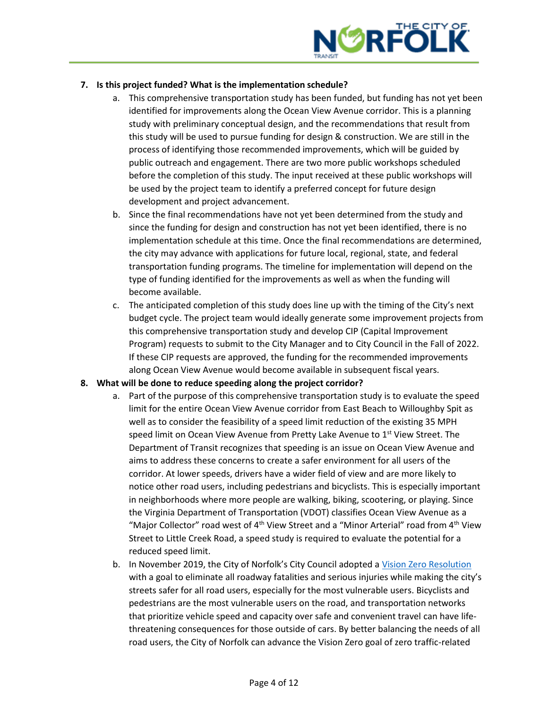

# **7. Is this project funded? What is the implementation schedule?**

- a. This comprehensive transportation study has been funded, but funding has not yet been identified for improvements along the Ocean View Avenue corridor. This is a planning study with preliminary conceptual design, and the recommendations that result from this study will be used to pursue funding for design & construction. We are still in the process of identifying those recommended improvements, which will be guided by public outreach and engagement. There are two more public workshops scheduled before the completion of this study. The input received at these public workshops will be used by the project team to identify a preferred concept for future design development and project advancement.
- b. Since the final recommendations have not yet been determined from the study and since the funding for design and construction has not yet been identified, there is no implementation schedule at this time. Once the final recommendations are determined, the city may advance with applications for future local, regional, state, and federal transportation funding programs. The timeline for implementation will depend on the type of funding identified for the improvements as well as when the funding will become available.
- c. The anticipated completion of this study does line up with the timing of the City's next budget cycle. The project team would ideally generate some improvement projects from this comprehensive transportation study and develop CIP (Capital Improvement Program) requests to submit to the City Manager and to City Council in the Fall of 2022. If these CIP requests are approved, the funding for the recommended improvements along Ocean View Avenue would become available in subsequent fiscal years.

#### **8. What will be done to reduce speeding along the project corridor?**

- a. Part of the purpose of this comprehensive transportation study is to evaluate the speed limit for the entire Ocean View Avenue corridor from East Beach to Willoughby Spit as well as to consider the feasibility of a speed limit reduction of the existing 35 MPH speed limit on Ocean View Avenue from Pretty Lake Avenue to 1<sup>st</sup> View Street. The Department of Transit recognizes that speeding is an issue on Ocean View Avenue and aims to address these concerns to create a safer environment for all users of the corridor. At lower speeds, drivers have a wider field of view and are more likely to notice other road users, including pedestrians and bicyclists. This is especially important in neighborhoods where more people are walking, biking, scootering, or playing. Since the Virginia Department of Transportation (VDOT) classifies Ocean View Avenue as a "Major Collector" road west of  $4<sup>th</sup>$  View Street and a "Minor Arterial" road from  $4<sup>th</sup>$  View Street to Little Creek Road, a speed study is required to evaluate the potential for a reduced speed limit.
- b. In November 2019, the City of Norfolk's City Council adopted a [Vision Zero Resolution](https://www.norfolk.gov/DocumentCenter/View/57384/R-1-Resolution-in-support-of-Vision-Zero-Initiatives) with a goal to eliminate all roadway fatalities and serious injuries while making the city's streets safer for all road users, especially for the most vulnerable users. Bicyclists and pedestrians are the most vulnerable users on the road, and transportation networks that prioritize vehicle speed and capacity over safe and convenient travel can have lifethreatening consequences for those outside of cars. By better balancing the needs of all road users, the City of Norfolk can advance the Vision Zero goal of zero traffic-related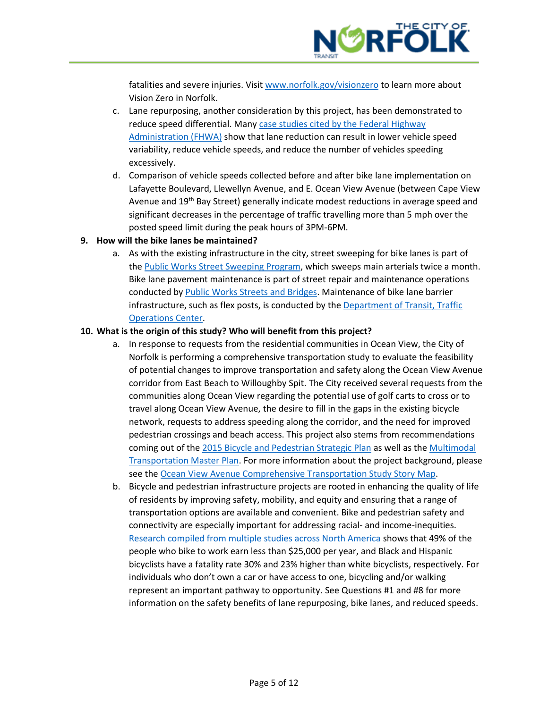

fatalities and severe injuries. Visit [www.norfolk.gov/visionzero](http://www.norfolk.gov/visionzero) to learn more about Vision Zero in Norfolk.

- c. Lane repurposing, another consideration by this project, has been demonstrated to reduce speed differential. Man[y case studies cited by the Federal Highway](https://safety.fhwa.dot.gov/road_diets/guidance/info_guide/)  [Administration \(FHWA\)](https://safety.fhwa.dot.gov/road_diets/guidance/info_guide/) show that lane reduction can result in lower vehicle speed variability, reduce vehicle speeds, and reduce the number of vehicles speeding excessively.
- d. Comparison of vehicle speeds collected before and after bike lane implementation on Lafayette Boulevard, Llewellyn Avenue, and E. Ocean View Avenue (between Cape View Avenue and  $19<sup>th</sup>$  Bay Street) generally indicate modest reductions in average speed and significant decreases in the percentage of traffic travelling more than 5 mph over the posted speed limit during the peak hours of 3PM-6PM.

#### **9. How will the bike lanes be maintained?**

a. As with the existing infrastructure in the city, street sweeping for bike lanes is part of th[e Public Works Street Sweeping Program,](https://www.norfolk.gov/2658/Street-Sweeping) which sweeps main arterials twice a month. Bike lane pavement maintenance is part of street repair and maintenance operations conducted by [Public Works Streets and Bridges.](https://www.norfolk.gov/1655/Streets-Bridges) Maintenance of bike lane barrier infrastructure, such as flex posts, is conducted by th[e Department of Transit,](https://www.norfolk.gov/4598/Transit) Traffic [Operations Center.](https://www.norfolk.gov/4598/Transit)

#### **10. What is the origin of this study? Who will benefit from this project?**

- a. In response to requests from the residential communities in Ocean View, the City of Norfolk is performing a comprehensive transportation study to evaluate the feasibility of potential changes to improve transportation and safety along the Ocean View Avenue corridor from East Beach to Willoughby Spit. The City received several requests from the communities along Ocean View regarding the potential use of golf carts to cross or to travel along Ocean View Avenue, the desire to fill in the gaps in the existing bicycle network, requests to address speeding along the corridor, and the need for improved pedestrian crossings and beach access. This project also stems from recommendations coming out of the [2015 Bicycle and Pedestrian Strategic Plan](https://www.norfolk.gov/DocumentCenter/View/22781/2015-Norfolk-Strategic-Bike-Pedestrian-Plan-PDF?bidId=) as well as th[e Multimodal](https://www.norfolk.gov/4776/Multimodal-Norfolk)  [Transportation Master Plan.](https://www.norfolk.gov/4776/Multimodal-Norfolk) For more information about the project background, please see the [Ocean View Avenue Comprehensive Transportation Study Story](https://maps.kimley-horn.com/portal/apps/storymaps/stories/f1d5e357be0e4ab9a879bc0033840d51) Map.
- b. Bicycle and pedestrian infrastructure projects are rooted in enhancing the quality of life of residents by improving safety, mobility, and equity and ensuring that a range of transportation options are available and convenient. Bike and pedestrian safety and connectivity are especially important for addressing racial- and income-inequities. [Research compiled from multiple studies across North America](https://nacto.org/wp-content/uploads/2016/07/NACTO_Equitable_Bikeshare_Means_Bike_Lanes.pdf) shows that 49% of the people who bike to work earn less than \$25,000 per year, and Black and Hispanic bicyclists have a fatality rate 30% and 23% higher than white bicyclists, respectively. For individuals who don't own a car or have access to one, bicycling and/or walking represent an important pathway to opportunity. See Questions #1 and #8 for more information on the safety benefits of lane repurposing, bike lanes, and reduced speeds.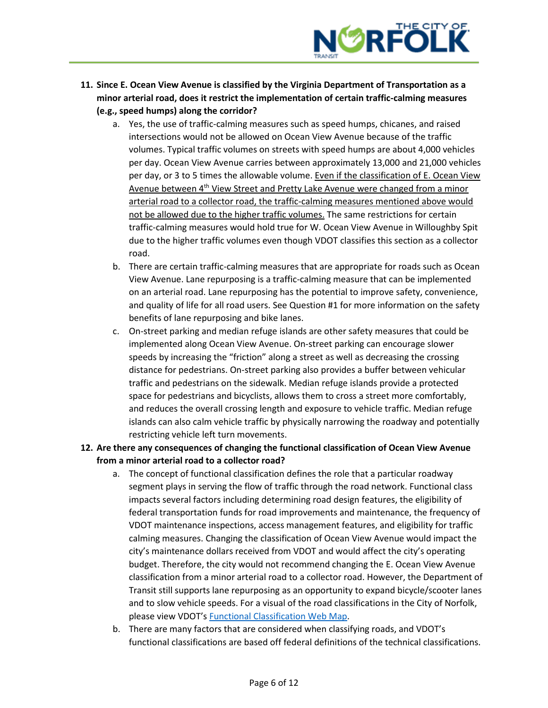

- **11. Since E. Ocean View Avenue is classified by the Virginia Department of Transportation as a minor arterial road, does it restrict the implementation of certain traffic-calming measures (e.g., speed humps) along the corridor?**
	- a. Yes, the use of traffic-calming measures such as speed humps, chicanes, and raised intersections would not be allowed on Ocean View Avenue because of the traffic volumes. Typical traffic volumes on streets with speed humps are about 4,000 vehicles per day. Ocean View Avenue carries between approximately 13,000 and 21,000 vehicles per day, or 3 to 5 times the allowable volume. Even if the classification of E. Ocean View Avenue between  $4<sup>th</sup>$  View Street and Pretty Lake Avenue were changed from a minor arterial road to a collector road, the traffic-calming measures mentioned above would not be allowed due to the higher traffic volumes. The same restrictions for certain traffic-calming measures would hold true for W. Ocean View Avenue in Willoughby Spit due to the higher traffic volumes even though VDOT classifies this section as a collector road.
	- b. There are certain traffic-calming measures that are appropriate for roads such as Ocean View Avenue. Lane repurposing is a traffic-calming measure that can be implemented on an arterial road. Lane repurposing has the potential to improve safety, convenience, and quality of life for all road users. See Question #1 for more information on the safety benefits of lane repurposing and bike lanes.
	- c. On-street parking and median refuge islands are other safety measures that could be implemented along Ocean View Avenue. On-street parking can encourage slower speeds by increasing the "friction" along a street as well as decreasing the crossing distance for pedestrians. On-street parking also provides a buffer between vehicular traffic and pedestrians on the sidewalk. Median refuge islands provide a protected space for pedestrians and bicyclists, allows them to cross a street more comfortably, and reduces the overall crossing length and exposure to vehicle traffic. Median refuge islands can also calm vehicle traffic by physically narrowing the roadway and potentially restricting vehicle left turn movements.
- **12. Are there any consequences of changing the functional classification of Ocean View Avenue from a minor arterial road to a collector road?**
	- a. The concept of functional classification defines the role that a particular roadway segment plays in serving the flow of traffic through the road network. Functional class impacts several factors including determining road design features, the eligibility of federal transportation funds for road improvements and maintenance, the frequency of VDOT maintenance inspections, access management features, and eligibility for traffic calming measures. Changing the classification of Ocean View Avenue would impact the city's maintenance dollars received from VDOT and would affect the city's operating budget. Therefore, the city would not recommend changing the E. Ocean View Avenue classification from a minor arterial road to a collector road. However, the Department of Transit still supports lane repurposing as an opportunity to expand bicycle/scooter lanes and to slow vehicle speeds. For a visual of the road classifications in the City of Norfolk, please view VDOT's [Functional Classification Web Map.](https://www.arcgis.com/home/webmap/viewer.html?webmap=3eca6c9adb6649c988d98734f85baddb)
	- b. There are many factors that are considered when classifying roads, and VDOT's functional classifications are based off federal definitions of the technical classifications.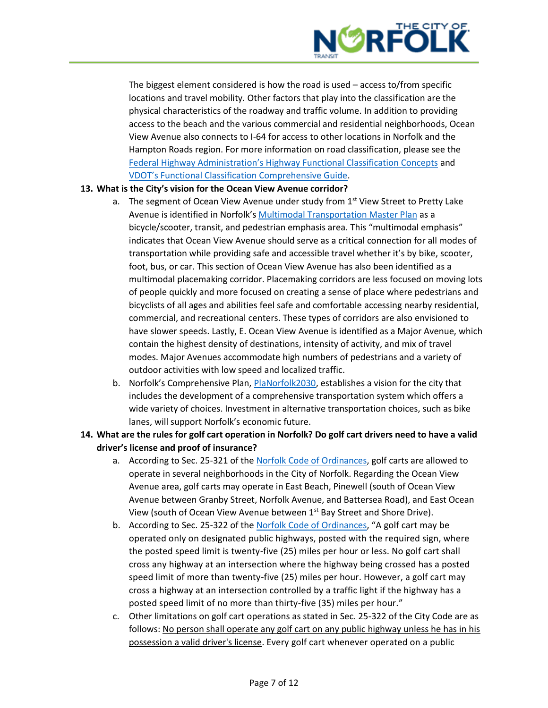

The biggest element considered is how the road is used – access to/from specific locations and travel mobility. Other factors that play into the classification are the physical characteristics of the roadway and traffic volume. In addition to providing access to the beach and the various commercial and residential neighborhoods, Ocean View Avenue also connects to I-64 for access to other locations in Norfolk and the Hampton Roads region. For more information on road classification, please see the [Federal Highway Administration's Highway Functional Classification Concepts](https://www.fhwa.dot.gov/planning/processes/statewide/related/highway_functional_classifications/section00.cfm) and [VDOT's Functional Classification Comprehensive Guide](https://www.virginiadot.org/Functional_Classification_Comprehensive_Guide.pdf).

## **13. What is the City's vision for the Ocean View Avenue corridor?**

- a. The segment of Ocean View Avenue under study from  $1<sup>st</sup>$  View Street to Pretty Lake Avenue is identified in Norfolk's [Multimodal Transportation Master Plan](http://www.multimodalnorfolk.com/) as a bicycle/scooter, transit, and pedestrian emphasis area. This "multimodal emphasis" indicates that Ocean View Avenue should serve as a critical connection for all modes of transportation while providing safe and accessible travel whether it's by bike, scooter, foot, bus, or car. This section of Ocean View Avenue has also been identified as a multimodal placemaking corridor. Placemaking corridors are less focused on moving lots of people quickly and more focused on creating a sense of place where pedestrians and bicyclists of all ages and abilities feel safe and comfortable accessing nearby residential, commercial, and recreational centers. These types of corridors are also envisioned to have slower speeds. Lastly, E. Ocean View Avenue is identified as a Major Avenue, which contain the highest density of destinations, intensity of activity, and mix of travel modes. Major Avenues accommodate high numbers of pedestrians and a variety of outdoor activities with low speed and localized traffic.
- b. Norfolk's Comprehensive Plan, [PlaNorfolk2030,](https://www.norfolk.gov/1376/plaNorfolk2030) establishes a vision for the city that includes the development of a comprehensive transportation system which offers a wide variety of choices. Investment in alternative transportation choices, such as bike lanes, will support Norfolk's economic future.
- **14. What are the rules for golf cart operation in Norfolk? Do golf cart drivers need to have a valid driver's license and proof of insurance?**
	- a. According to Sec. 25-321 of the [Norfolk Code of Ordinances,](https://library.municode.com/va/norfolk/codes/code_of_ordinances?nodeId=COCI_CH25MOVECO_ARTIXGOCA) golf carts are allowed to operate in several neighborhoods in the City of Norfolk. Regarding the Ocean View Avenue area, golf carts may operate in East Beach, Pinewell (south of Ocean View Avenue between Granby Street, Norfolk Avenue, and Battersea Road), and East Ocean View (south of Ocean View Avenue between 1<sup>st</sup> Bay Street and Shore Drive).
	- b. According to Sec. 25-322 of the [Norfolk Code of Ordinances,](https://library.municode.com/va/norfolk/codes/code_of_ordinances?nodeId=COCI_CH25MOVECO_ARTIXGOCA) "A golf cart may be operated only on designated public highways, posted with the required sign, where the posted speed limit is twenty-five (25) miles per hour or less. No golf cart shall cross any highway at an intersection where the highway being crossed has a posted speed limit of more than twenty-five (25) miles per hour. However, a golf cart may cross a highway at an intersection controlled by a traffic light if the highway has a posted speed limit of no more than thirty-five (35) miles per hour."
	- c. Other limitations on golf cart operations as stated in Sec. 25-322 of the City Code are as follows: No person shall operate any golf cart on any public highway unless he has in his possession a valid driver's license. Every golf cart whenever operated on a public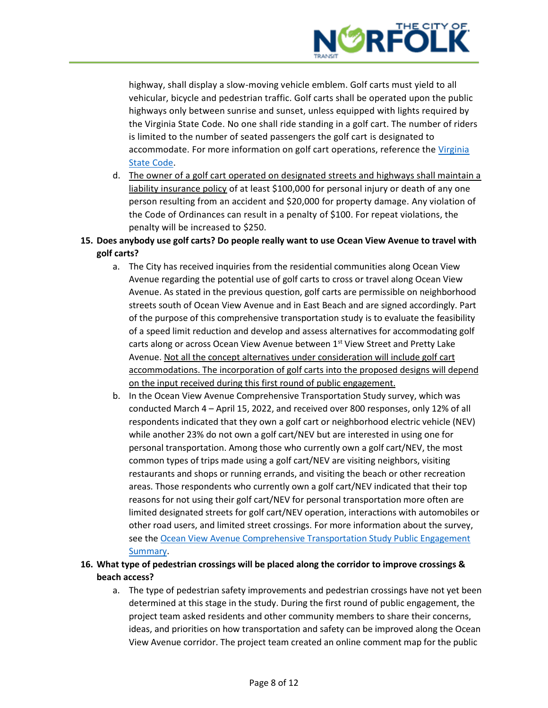

highway, shall display a slow-moving vehicle emblem. Golf carts must yield to all vehicular, bicycle and pedestrian traffic. Golf carts shall be operated upon the public highways only between sunrise and sunset, unless equipped with lights required by the Virginia State Code. No one shall ride standing in a golf cart. The number of riders is limited to the number of seated passengers the golf cart is designated to accommodate. For more information on golf cart operations, reference the Virginia [State Code.](https://law.lis.virginia.gov/vacodefull/title46.2/chapter8/article13.1/)

- d. The owner of a golf cart operated on designated streets and highways shall maintain a liability insurance policy of at least \$100,000 for personal injury or death of any one person resulting from an accident and \$20,000 for property damage. Any violation of the Code of Ordinances can result in a penalty of \$100. For repeat violations, the penalty will be increased to \$250.
- **15. Does anybody use golf carts? Do people really want to use Ocean View Avenue to travel with golf carts?**
	- a. The City has received inquiries from the residential communities along Ocean View Avenue regarding the potential use of golf carts to cross or travel along Ocean View Avenue. As stated in the previous question, golf carts are permissible on neighborhood streets south of Ocean View Avenue and in East Beach and are signed accordingly. Part of the purpose of this comprehensive transportation study is to evaluate the feasibility of a speed limit reduction and develop and assess alternatives for accommodating golf carts along or across Ocean View Avenue between 1<sup>st</sup> View Street and Pretty Lake Avenue. Not all the concept alternatives under consideration will include golf cart accommodations. The incorporation of golf carts into the proposed designs will depend on the input received during this first round of public engagement.
	- b. In the Ocean View Avenue Comprehensive Transportation Study survey, which was conducted March 4 – April 15, 2022, and received over 800 responses, only 12% of all respondents indicated that they own a golf cart or neighborhood electric vehicle (NEV) while another 23% do not own a golf cart/NEV but are interested in using one for personal transportation. Among those who currently own a golf cart/NEV, the most common types of trips made using a golf cart/NEV are visiting neighbors, visiting restaurants and shops or running errands, and visiting the beach or other recreation areas. Those respondents who currently own a golf cart/NEV indicated that their top reasons for not using their golf cart/NEV for personal transportation more often are limited designated streets for golf cart/NEV operation, interactions with automobiles or other road users, and limited street crossings. For more information about the survey, see the [Ocean View Avenue Comprehensive Transportation Study Public Engagement](https://www.norfolk.gov/DocumentCenter/View/71712/OV-Ave-Public-Engagement-Summary-Round-1)  [Summary.](https://www.norfolk.gov/DocumentCenter/View/71712/OV-Ave-Public-Engagement-Summary-Round-1)
- **16. What type of pedestrian crossings will be placed along the corridor to improve crossings & beach access?**
	- a. The type of pedestrian safety improvements and pedestrian crossings have not yet been determined at this stage in the study. During the first round of public engagement, the project team asked residents and other community members to share their concerns, ideas, and priorities on how transportation and safety can be improved along the Ocean View Avenue corridor. The project team created an online comment map for the public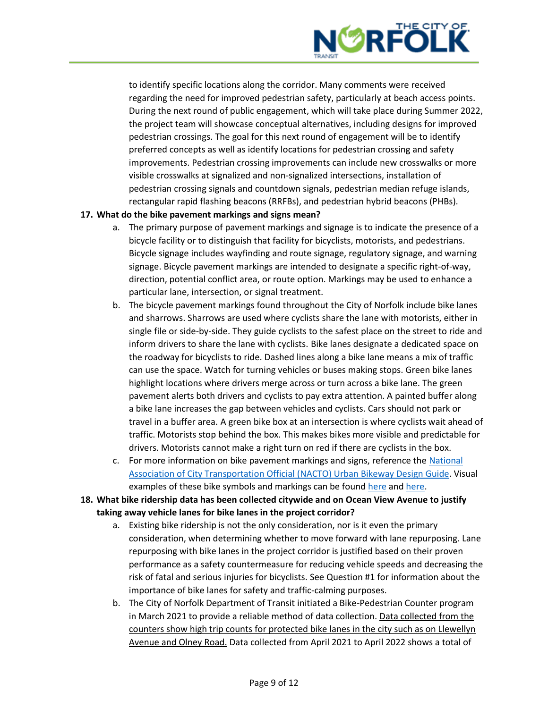

to identify specific locations along the corridor. Many comments were received regarding the need for improved pedestrian safety, particularly at beach access points. During the next round of public engagement, which will take place during Summer 2022, the project team will showcase conceptual alternatives, including designs for improved pedestrian crossings. The goal for this next round of engagement will be to identify preferred concepts as well as identify locations for pedestrian crossing and safety improvements. Pedestrian crossing improvements can include new crosswalks or more visible crosswalks at signalized and non-signalized intersections, installation of pedestrian crossing signals and countdown signals, pedestrian median refuge islands, rectangular rapid flashing beacons (RRFBs), and pedestrian hybrid beacons (PHBs).

#### **17. What do the bike pavement markings and signs mean?**

- a. The primary purpose of pavement markings and signage is to indicate the presence of a bicycle facility or to distinguish that facility for bicyclists, motorists, and pedestrians. Bicycle signage includes wayfinding and route signage, regulatory signage, and warning signage. Bicycle pavement markings are intended to designate a specific right-of-way, direction, potential conflict area, or route option. Markings may be used to enhance a particular lane, intersection, or signal treatment.
- b. The bicycle pavement markings found throughout the City of Norfolk include bike lanes and sharrows. Sharrows are used where cyclists share the lane with motorists, either in single file or side-by-side. They guide cyclists to the safest place on the street to ride and inform drivers to share the lane with cyclists. Bike lanes designate a dedicated space on the roadway for bicyclists to ride. Dashed lines along a bike lane means a mix of traffic can use the space. Watch for turning vehicles or buses making stops. Green bike lanes highlight locations where drivers merge across or turn across a bike lane. The green pavement alerts both drivers and cyclists to pay extra attention. A painted buffer along a bike lane increases the gap between vehicles and cyclists. Cars should not park or travel in a buffer area. A green bike box at an intersection is where cyclists wait ahead of traffic. Motorists stop behind the box. This makes bikes more visible and predictable for drivers. Motorists cannot make a right turn on red if there are cyclists in the box.
- c. For more information on bike pavement markings and signs, reference the [National](https://nacto.org/publication/urban-bikeway-design-guide/bikeway-signing-marking/)  [Association of City Transportation Official \(NACTO\) Urban](https://nacto.org/publication/urban-bikeway-design-guide/bikeway-signing-marking/) Bikeway Design Guide. Visual examples of these bike symbols and markings can be found [here](https://www.phoenix.gov/streetssite/Documents/Symbols%20and%20Markings.pdf) an[d here.](https://www.cnv.org/city-services/streets-and-transportation/look-think-go/road-markings-and-signs)
- **18. What bike ridership data has been collected citywide and on Ocean View Avenue to justify taking away vehicle lanes for bike lanes in the project corridor?**
	- a. Existing bike ridership is not the only consideration, nor is it even the primary consideration, when determining whether to move forward with lane repurposing. Lane repurposing with bike lanes in the project corridor is justified based on their proven performance as a safety countermeasure for reducing vehicle speeds and decreasing the risk of fatal and serious injuries for bicyclists. See Question #1 for information about the importance of bike lanes for safety and traffic-calming purposes.
	- b. The City of Norfolk Department of Transit initiated a Bike-Pedestrian Counter program in March 2021 to provide a reliable method of data collection. Data collected from the counters show high trip counts for protected bike lanes in the city such as on Llewellyn Avenue and Olney Road. Data collected from April 2021 to April 2022 shows a total of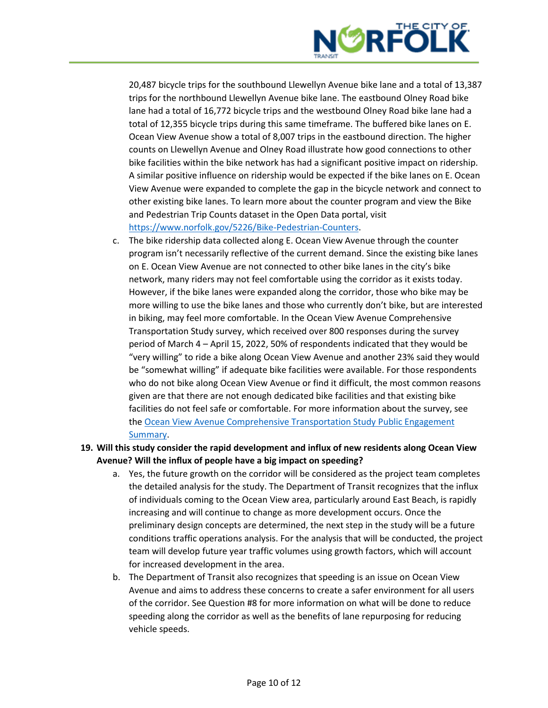

20,487 bicycle trips for the southbound Llewellyn Avenue bike lane and a total of 13,387 trips for the northbound Llewellyn Avenue bike lane. The eastbound Olney Road bike lane had a total of 16,772 bicycle trips and the westbound Olney Road bike lane had a total of 12,355 bicycle trips during this same timeframe. The buffered bike lanes on E. Ocean View Avenue show a total of 8,007 trips in the eastbound direction. The higher counts on Llewellyn Avenue and Olney Road illustrate how good connections to other bike facilities within the bike network has had a significant positive impact on ridership. A similar positive influence on ridership would be expected if the bike lanes on E. Ocean View Avenue were expanded to complete the gap in the bicycle network and connect to other existing bike lanes. To learn more about the counter program and view the Bike and Pedestrian Trip Counts dataset in the Open Data portal, visit [https://www.norfolk.gov/5226/Bike-Pedestrian-Counters.](https://www.norfolk.gov/5226/Bike-Pedestrian-Counters)

- c. The bike ridership data collected along E. Ocean View Avenue through the counter program isn't necessarily reflective of the current demand. Since the existing bike lanes on E. Ocean View Avenue are not connected to other bike lanes in the city's bike network, many riders may not feel comfortable using the corridor as it exists today. However, if the bike lanes were expanded along the corridor, those who bike may be more willing to use the bike lanes and those who currently don't bike, but are interested in biking, may feel more comfortable. In the Ocean View Avenue Comprehensive Transportation Study survey, which received over 800 responses during the survey period of March 4 – April 15, 2022, 50% of respondents indicated that they would be "very willing" to ride a bike along Ocean View Avenue and another 23% said they would be "somewhat willing" if adequate bike facilities were available. For those respondents who do not bike along Ocean View Avenue or find it difficult, the most common reasons given are that there are not enough dedicated bike facilities and that existing bike facilities do not feel safe or comfortable. For more information about the survey, see th[e Ocean View Avenue Comprehensive Transportation Study Public Engagement](https://www.norfolk.gov/DocumentCenter/View/71712/OV-Ave-Public-Engagement-Summary-Round-1)  [Summary.](https://www.norfolk.gov/DocumentCenter/View/71712/OV-Ave-Public-Engagement-Summary-Round-1)
- **19. Will this study consider the rapid development and influx of new residents along Ocean View Avenue? Will the influx of people have a big impact on speeding?**
	- a. Yes, the future growth on the corridor will be considered as the project team completes the detailed analysis for the study. The Department of Transit recognizes that the influx of individuals coming to the Ocean View area, particularly around East Beach, is rapidly increasing and will continue to change as more development occurs. Once the preliminary design concepts are determined, the next step in the study will be a future conditions traffic operations analysis. For the analysis that will be conducted, the project team will develop future year traffic volumes using growth factors, which will account for increased development in the area.
	- b. The Department of Transit also recognizes that speeding is an issue on Ocean View Avenue and aims to address these concerns to create a safer environment for all users of the corridor. See Question #8 for more information on what will be done to reduce speeding along the corridor as well as the benefits of lane repurposing for reducing vehicle speeds.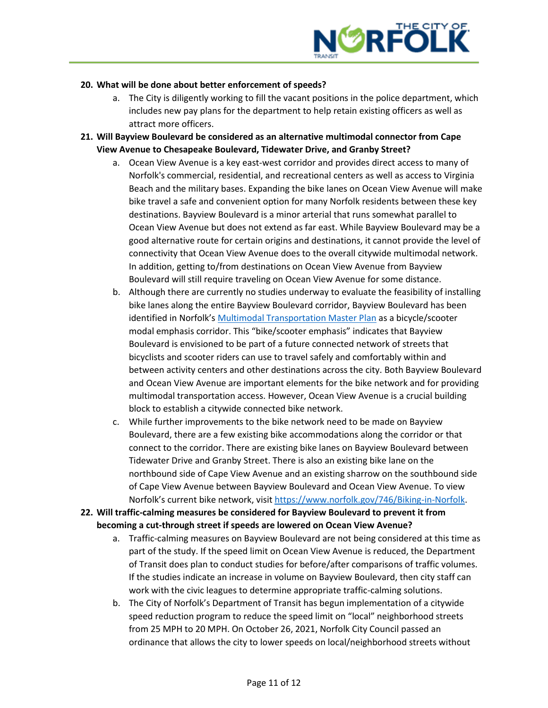

#### **20. What will be done about better enforcement of speeds?**

- a. The City is diligently working to fill the vacant positions in the police department, which includes new pay plans for the department to help retain existing officers as well as attract more officers.
- **21. Will Bayview Boulevard be considered as an alternative multimodal connector from Cape View Avenue to Chesapeake Boulevard, Tidewater Drive, and Granby Street?**
	- a. Ocean View Avenue is a key east-west corridor and provides direct access to many of Norfolk's commercial, residential, and recreational centers as well as access to Virginia Beach and the military bases. Expanding the bike lanes on Ocean View Avenue will make bike travel a safe and convenient option for many Norfolk residents between these key destinations. Bayview Boulevard is a minor arterial that runs somewhat parallel to Ocean View Avenue but does not extend as far east. While Bayview Boulevard may be a good alternative route for certain origins and destinations, it cannot provide the level of connectivity that Ocean View Avenue does to the overall citywide multimodal network. In addition, getting to/from destinations on Ocean View Avenue from Bayview Boulevard will still require traveling on Ocean View Avenue for some distance.
	- b. Although there are currently no studies underway to evaluate the feasibility of installing bike lanes along the entire Bayview Boulevard corridor, Bayview Boulevard has been identified in Norfolk's [Multimodal Transportation Master Plan](http://www.multimodalnorfolk.com/) as a bicycle/scooter modal emphasis corridor. This "bike/scooter emphasis" indicates that Bayview Boulevard is envisioned to be part of a future connected network of streets that bicyclists and scooter riders can use to travel safely and comfortably within and between activity centers and other destinations across the city. Both Bayview Boulevard and Ocean View Avenue are important elements for the bike network and for providing multimodal transportation access. However, Ocean View Avenue is a crucial building block to establish a citywide connected bike network.
	- c. While further improvements to the bike network need to be made on Bayview Boulevard, there are a few existing bike accommodations along the corridor or that connect to the corridor. There are existing bike lanes on Bayview Boulevard between Tidewater Drive and Granby Street. There is also an existing bike lane on the northbound side of Cape View Avenue and an existing sharrow on the southbound side of Cape View Avenue between Bayview Boulevard and Ocean View Avenue. To view Norfolk's current bike network, visit [https://www.norfolk.gov/746/Biking-in-Norfolk.](https://www.norfolk.gov/746/Biking-in-Norfolk)
- **22. Will traffic-calming measures be considered for Bayview Boulevard to prevent it from becoming a cut-through street if speeds are lowered on Ocean View Avenue?**
	- a. Traffic-calming measures on Bayview Boulevard are not being considered at this time as part of the study. If the speed limit on Ocean View Avenue is reduced, the Department of Transit does plan to conduct studies for before/after comparisons of traffic volumes. If the studies indicate an increase in volume on Bayview Boulevard, then city staff can work with the civic leagues to determine appropriate traffic-calming solutions.
	- b. The City of Norfolk's Department of Transit has begun implementation of a citywide speed reduction program to reduce the speed limit on "local" neighborhood streets from 25 MPH to 20 MPH. On October 26, 2021, Norfolk City Council passed an ordinance that allows the city to lower speeds on local/neighborhood streets without